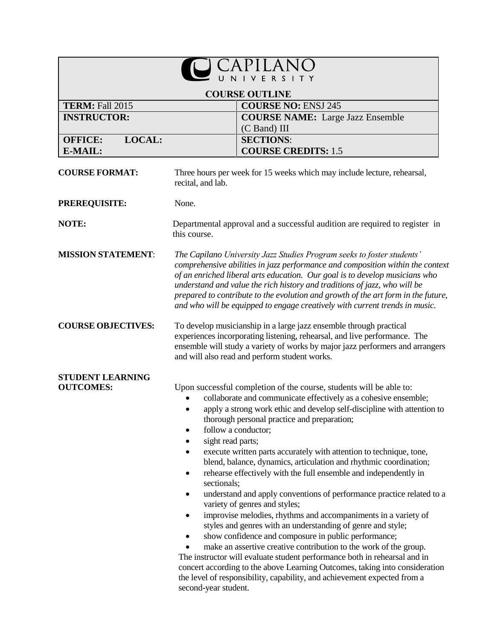|                                             |                                                                            | $\mathsf{S}$                                                                                                                                                                                                                                                                                                                                                                                                                                                                                                                                                                                                                                                                                                                                                                                                                                                                                                                                                                                                                                                                                                            |
|---------------------------------------------|----------------------------------------------------------------------------|-------------------------------------------------------------------------------------------------------------------------------------------------------------------------------------------------------------------------------------------------------------------------------------------------------------------------------------------------------------------------------------------------------------------------------------------------------------------------------------------------------------------------------------------------------------------------------------------------------------------------------------------------------------------------------------------------------------------------------------------------------------------------------------------------------------------------------------------------------------------------------------------------------------------------------------------------------------------------------------------------------------------------------------------------------------------------------------------------------------------------|
|                                             |                                                                            | <b>COURSE OUTLINE</b>                                                                                                                                                                                                                                                                                                                                                                                                                                                                                                                                                                                                                                                                                                                                                                                                                                                                                                                                                                                                                                                                                                   |
| <b>TERM: Fall 2015</b>                      |                                                                            | <b>COURSE NO: ENSJ 245</b>                                                                                                                                                                                                                                                                                                                                                                                                                                                                                                                                                                                                                                                                                                                                                                                                                                                                                                                                                                                                                                                                                              |
| <b>INSTRUCTOR:</b>                          |                                                                            | <b>COURSE NAME:</b> Large Jazz Ensemble                                                                                                                                                                                                                                                                                                                                                                                                                                                                                                                                                                                                                                                                                                                                                                                                                                                                                                                                                                                                                                                                                 |
| LOCAL:<br><b>OFFICE:</b>                    |                                                                            | $(C$ Band) III<br><b>SECTIONS:</b>                                                                                                                                                                                                                                                                                                                                                                                                                                                                                                                                                                                                                                                                                                                                                                                                                                                                                                                                                                                                                                                                                      |
| E-MAIL:                                     |                                                                            | <b>COURSE CREDITS: 1.5</b>                                                                                                                                                                                                                                                                                                                                                                                                                                                                                                                                                                                                                                                                                                                                                                                                                                                                                                                                                                                                                                                                                              |
| <b>COURSE FORMAT:</b>                       | recital, and lab.                                                          | Three hours per week for 15 weeks which may include lecture, rehearsal,                                                                                                                                                                                                                                                                                                                                                                                                                                                                                                                                                                                                                                                                                                                                                                                                                                                                                                                                                                                                                                                 |
| <b>PREREQUISITE:</b>                        | None.                                                                      |                                                                                                                                                                                                                                                                                                                                                                                                                                                                                                                                                                                                                                                                                                                                                                                                                                                                                                                                                                                                                                                                                                                         |
| NOTE:                                       | this course.                                                               | Departmental approval and a successful audition are required to register in                                                                                                                                                                                                                                                                                                                                                                                                                                                                                                                                                                                                                                                                                                                                                                                                                                                                                                                                                                                                                                             |
| <b>MISSION STATEMENT:</b>                   |                                                                            | The Capilano University Jazz Studies Program seeks to foster students'<br>comprehensive abilities in jazz performance and composition within the context<br>of an enriched liberal arts education. Our goal is to develop musicians who<br>understand and value the rich history and traditions of jazz, who will be<br>prepared to contribute to the evolution and growth of the art form in the future,<br>and who will be equipped to engage creatively with current trends in music.                                                                                                                                                                                                                                                                                                                                                                                                                                                                                                                                                                                                                                |
| <b>COURSE OBJECTIVES:</b>                   |                                                                            | To develop musicianship in a large jazz ensemble through practical<br>experiences incorporating listening, rehearsal, and live performance. The<br>ensemble will study a variety of works by major jazz performers and arrangers<br>and will also read and perform student works.                                                                                                                                                                                                                                                                                                                                                                                                                                                                                                                                                                                                                                                                                                                                                                                                                                       |
| <b>STUDENT LEARNING</b><br><b>OUTCOMES:</b> | sight read parts;<br>$\bullet$<br>sectionals;<br>٠<br>second-year student. | Upon successful completion of the course, students will be able to:<br>collaborate and communicate effectively as a cohesive ensemble;<br>apply a strong work ethic and develop self-discipline with attention to<br>thorough personal practice and preparation;<br>follow a conductor;<br>execute written parts accurately with attention to technique, tone,<br>blend, balance, dynamics, articulation and rhythmic coordination;<br>rehearse effectively with the full ensemble and independently in<br>understand and apply conventions of performance practice related to a<br>variety of genres and styles;<br>improvise melodies, rhythms and accompaniments in a variety of<br>styles and genres with an understanding of genre and style;<br>show confidence and composure in public performance;<br>make an assertive creative contribution to the work of the group.<br>The instructor will evaluate student performance both in rehearsal and in<br>concert according to the above Learning Outcomes, taking into consideration<br>the level of responsibility, capability, and achievement expected from a |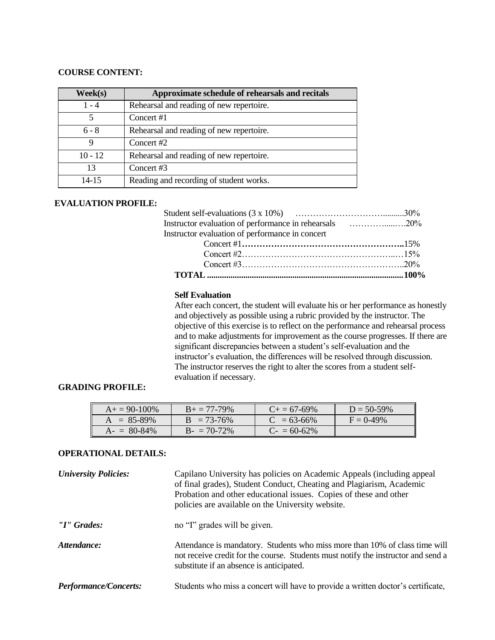## **COURSE CONTENT:**

| Week(s)   | Approximate schedule of rehearsals and recitals |
|-----------|-------------------------------------------------|
| $1 - 4$   | Rehearsal and reading of new repertoire.        |
| 5         | Concert #1                                      |
| $6 - 8$   | Rehearsal and reading of new repertoire.        |
| 9         | Concert #2                                      |
| $10 - 12$ | Rehearsal and reading of new repertoire.        |
| 13        | Concert #3                                      |
| $14 - 15$ | Reading and recording of student works.         |

#### **EVALUATION PROFILE:**

| Instructor evaluation of performance in concert |  |
|-------------------------------------------------|--|
|                                                 |  |
|                                                 |  |
|                                                 |  |

| TOTAL ……………………………………………………………………………………100% |  |
|--------------------------------------------|--|

### **Self Evaluation**

After each concert, the student will evaluate his or her performance as honestly and objectively as possible using a rubric provided by the instructor. The objective of this exercise is to reflect on the performance and rehearsal process and to make adjustments for improvement as the course progresses. If there are significant discrepancies between a student's self-evaluation and the instructor's evaluation, the differences will be resolved through discussion. The instructor reserves the right to alter the scores from a student selfevaluation if necessary.

## **GRADING PROFILE:**

| $A_+ = 90-100\%$ | $B_+ = 77-79\%$ | $C_{\pm} = 67 - 69\%$ | $D = 50 - 59\%$ |
|------------------|-----------------|-----------------------|-----------------|
| $A = 85-89\%$    | $B = 73-76%$    | $C = 63-66\%$         | $F = 0.49\%$    |
| $A - 80 - 84\%$  | $B - 70-72\%$   | $C = 60-62\%$         |                 |

# **OPERATIONAL DETAILS:**

| <b>University Policies:</b>  | Capilano University has policies on Academic Appeals (including appeal<br>of final grades), Student Conduct, Cheating and Plagiarism, Academic<br>Probation and other educational issues. Copies of these and other<br>policies are available on the University website. |
|------------------------------|--------------------------------------------------------------------------------------------------------------------------------------------------------------------------------------------------------------------------------------------------------------------------|
| "I" Grades:                  | no "I" grades will be given.                                                                                                                                                                                                                                             |
| Attendance:                  | Attendance is mandatory. Students who miss more than 10% of class time will<br>not receive credit for the course. Students must notify the instructor and send a<br>substitute if an absence is anticipated.                                                             |
| <b>Performance/Concerts:</b> | Students who miss a concert will have to provide a written doctor's certificate,                                                                                                                                                                                         |